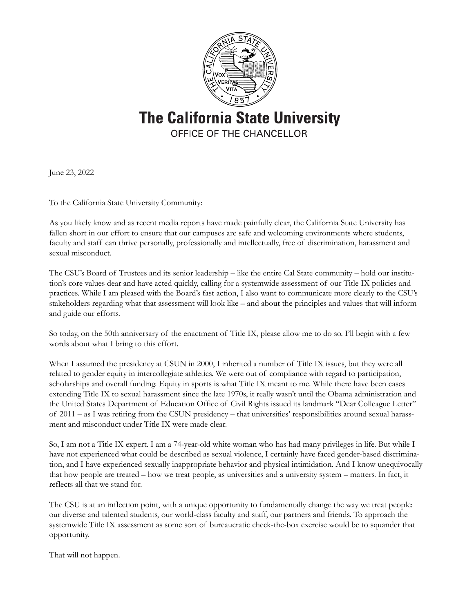

**The California State University** OFFICE OF THE CHANCELLOR

June 23, 2022

To the California State University Community:

As you likely know and as recent media reports have made painfully clear, the California State University has fallen short in our effort to ensure that our campuses are safe and welcoming environments where students, faculty and staff can thrive personally, professionally and intellectually, free of discrimination, harassment and sexual misconduct.

The CSU's Board of Trustees and its senior leadership – like the entire Cal State community – hold our institution's core values dear and have acted quickly, calling for a systemwide assessment of our Title IX policies and practices. While I am pleased with the Board's fast action, I also want to communicate more clearly to the CSU's stakeholders regarding what that assessment will look like – and about the principles and values that will inform and guide our efforts.

So today, on the 50th anniversary of the enactment of Title IX, please allow me to do so. I'll begin with a few words about what I bring to this effort.

When I assumed the presidency at CSUN in 2000, I inherited a number of Title IX issues, but they were all related to gender equity in intercollegiate athletics. We were out of compliance with regard to participation, scholarships and overall funding. Equity in sports is what Title IX meant to me. While there have been cases extending Title IX to sexual harassment since the late 1970s, it really wasn't until the Obama administration and the United States Department of Education Office of Civil Rights issued its landmark "Dear Colleague Letter" of 2011 – as I was retiring from the CSUN presidency – that universities' responsibilities around sexual harassment and misconduct under Title IX were made clear.

So, I am not a Title IX expert. I am a 74-year-old white woman who has had many privileges in life. But while I have not experienced what could be described as sexual violence, I certainly have faced gender-based discrimination, and I have experienced sexually inappropriate behavior and physical intimidation. And I know unequivocally that how people are treated – how we treat people, as universities and a university system – matters. In fact, it reflects all that we stand for.

The CSU is at an inflection point, with a unique opportunity to fundamentally change the way we treat people: our diverse and talented students, our world-class faculty and staff, our partners and friends. To approach the systemwide Title IX assessment as some sort of bureaucratic check-the-box exercise would be to squander that opportunity.

That will not happen.